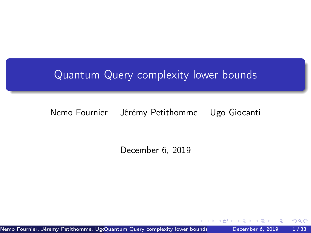# <span id="page-0-0"></span>Quantum Query complexity lower bounds

#### Nemo Fournier Jérémy Petithomme Ugo Giocanti

December 6, 2019

Nemo Fournier, Jérémy Petithomme, Ugo [Quantum Query complexity lower bounds](#page-66-0) December 6, 2019 1/33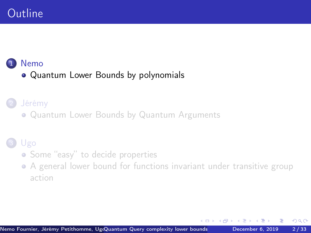## <span id="page-1-0"></span>**[Nemo](#page-1-0)**

## [Quantum Lower Bounds by polynomials](#page-1-0)

#### **[Jérémy](#page-21-0)**

[Quantum Lower Bounds by Quantum Arguments](#page-21-0)

- [Some "easy" to decide properties](#page-41-0)
- [A general lower bound for functions invariant under transitive group](#page-60-0) [action](#page-60-0)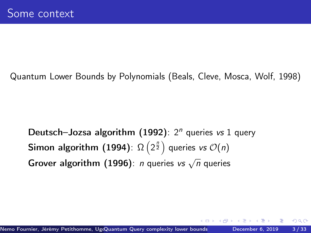Quantum Lower Bounds by Polynomials (Beals, Cleve, Mosca, Wolf, 1998)

Deutsch–Jozsa algorithm (1992):  $2^n$  queries vs 1 query Simon algorithm (1994):  $\Omega\left(2^{\frac{n}{2}}\right)$  queries vs  $\mathcal{O}(n)$ Grover algorithm (1996): *n* queries *vs*  $\sqrt{n}$  queries

 $\Omega$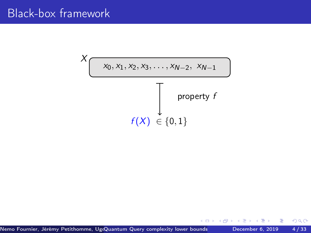# Black-box framework

$$
X \longrightarrow X_0, x_1, x_2, x_3, \dots, x_{N-2}, x_{N-1}
$$
\n
$$
\downarrow \qquad \qquad \downarrow
$$
\n
$$
f(X) \in \{0, 1\}
$$

4日 8

4 同 )

 $2990$ 

活

ъ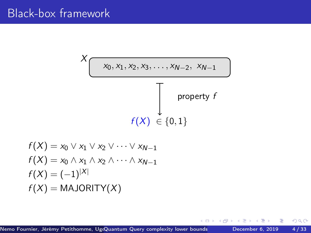$$
X \overline{X_0, x_1, x_2, x_3, \dots, x_{N-2}, x_{N-1}}
$$
\n
$$
\overline{X} \quad \text{property } f
$$
\n
$$
f(X) \in \{0, 1\}
$$

$$
f(X) = x_0 \vee x_1 \vee x_2 \vee \cdots \vee x_{N-1}
$$
  

$$
f(X) = x_0 \wedge x_1 \wedge x_2 \wedge \cdots \wedge x_{N-1}
$$
  

$$
f(X) = (-1)^{|X|}
$$
  

$$
f(X) = \text{MAJORITY}(X)
$$

活

4日 8

4 同 )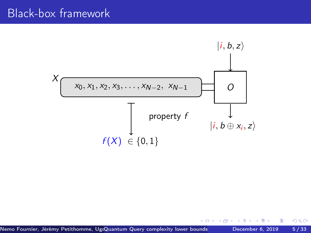# Black-box framework

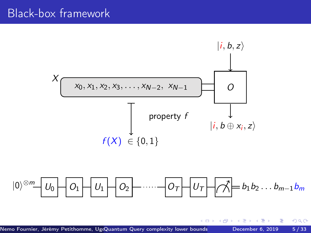# Black-box framework



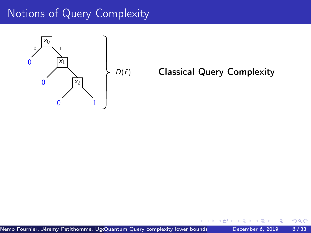# Notions of Query Complexity



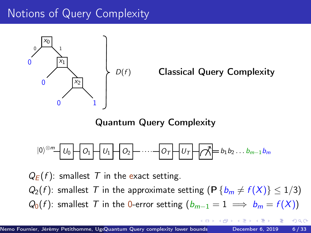# Notions of Query Complexity



U<sup>0</sup> O<sup>1</sup> U<sup>1</sup> O<sup>2</sup> O<sup>T</sup> U<sup>T</sup> |0i ⊗m b1b<sup>2</sup> . . . bm−1b<sup>m</sup>

 $Q_E(f)$ : smallest T in the exact setting.  $Q_2(f)$ : smallest T in the approximate setting  $(P\{b_m \neq f(X)\}\leq 1/3)$  $Q_0(f)$ : smallest T in the 0-error setting  $(b_{m-1} = 1 \implies b_m = f(X))$ 

 $\Omega$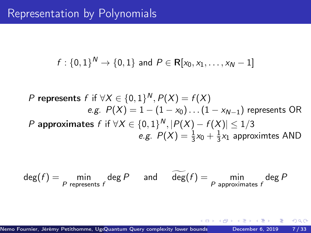$$
f: \{0,1\}^N \to \{0,1\}
$$
 and  $P \in \mathbb{R}[x_0, x_1, \ldots, x_N - 1]$ 

*P* represents  $f$  if  $∀X ∈ {0, 1}^N, P(X) = f(X)$ e.g.  $P(X) = 1 - (1 - x_0) \dots (1 - x_{N-1})$  represents OR P approximates f if  $\forall X \in \{0,1\}^N, |P(X) - f(X)| \leq 1/3$ e.g.  $P(X) = \frac{1}{3}x_0 + \frac{1}{3}$  $\frac{1}{3}x_1$  approximtes AND

$$
\deg(f) = \min_{P \text{ represents } f} \deg P \quad \text{ and } \quad \deg(f) = \min_{P \text{ approximates } f} \deg P
$$

 $200$ 

Nemo Fournier, Jérémy Petithomme, Ugo [Quantum Query complexity lower bounds](#page-0-0) December 6, 2019 7/33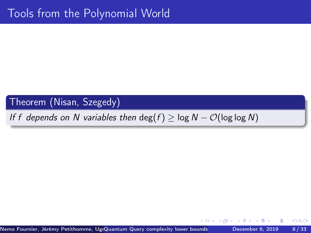#### Theorem (Nisan, Szegedy)

### If f depends on N variables then  $deg(f) \ge log N - O(log log N)$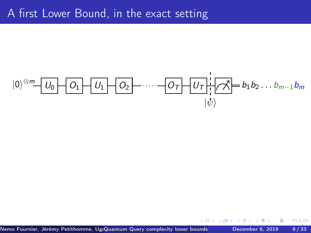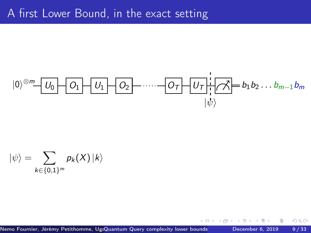

$$
|\psi\rangle = \sum_{k \in \{0,1\}^m} p_k(X) |k\rangle
$$

Nemo Fournier, Jérémy Petithomme, Ugo[Quantum Query complexity lower bounds](#page-0-0) December 6, 2019 9/33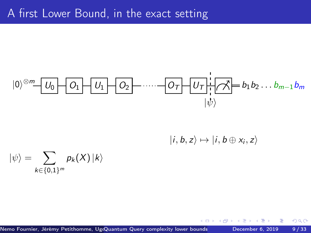U<sup>0</sup> U<sup>1</sup> U<sup>T</sup> |ψi |0i O<sup>1</sup> O<sup>2</sup> O<sup>T</sup> ⊗m b1b<sup>2</sup> . . . bm−1b<sup>m</sup>

 $|i, b, z\rangle \mapsto |i, b \oplus x_i, z\rangle$ 

 $\leftarrow$ 

$$
\ket{\psi} = \sum_{k \in \{0,1\}^m} p_k(X) \ket{k}
$$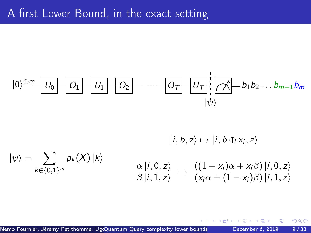$$
|0\rangle^{\otimes m} \underbrace{|U_0| \underbrace{|U_1| \cdots |U_1|}_{|V_1} \cdots \underbrace{|U_T| \cdots |U_T|}_{|V_1} \cdots \underbrace{|U_T| \cdots |U_T|}_{|V_1} \cdots \underbrace{|U_D| \cdots |U_D|}_{|V_2} \cdots \underbrace{|U_D| \cdots |U_D|}_{|V_1} \cdots \underbrace{|U_D| \cdots |U_D|}_{|V_2} \cdots \underbrace{|U_D| \cdots |U_D|}_{|V_1} \cdots \underbrace{|U_D| \cdots |U_D|}_{|V_2} \cdots \underbrace{|U_D| \cdots |U_D|}_{|V_1} \cdots \underbrace{|U_D| \cdots |U_D|}_{|V_2} \cdots \underbrace{|U_D| \cdots |U_D|}_{|V_1} \cdots \underbrace{|U_D| \cdots |U_D|}_{|V_2} \cdots \underbrace{|U_D| \cdots |U_D|}_{|V_1} \cdots \underbrace{|U_D| \cdots |U_D|}_{|V_2} \cdots \underbrace{|U_D| \cdots |U_D|}_{|V_1} \cdots \underbrace{|U_D| \cdots |U_D|}_{|V_2} \cdots \underbrace{|U_D| \cdots |U_D|}_{|V_1} \cdots \underbrace{|U_D| \cdots |U_D|}_{|V_2} \cdots \underbrace{|U_D| \cdots |U_D|}_{|V_1} \cdots \underbrace{|U_D| \cdots |U_D|}_{|V_2} \cdots \underbrace{|U_D| \cdots |U_D|}_{|V_1} \cdots \underbrace{|U_D| \cdots |U_D|}_{|V_2} \cdots \underbrace{|U_D| \cdots |U_D|}_{|V_1} \cdots \underbrace{|U_D| \cdots |U_D|}_{|V_2} \cdots \underbrace{|U_D| \cdots |U_D|}_{|V_1} \cdots \underbrace{|U_D| \cdots |U_D|}_{|V_2} \cdots \underbrace{|U_D| \cdots |U_D|}_{|V_1} \cdots \underbrace{|U_D| \cdots |U_D|}_{|V_2} \cdots \underbrace{|U_D| \cdots |U_D|}_{|V_1} \cdots \underbrace{|U_D| \cdots |U_D|}_{|V_2} \cdots \underbrace{|U_D| \cdots |U_D|}_{|V_1} \cdots \underbrace{|U_D| \cdots |U_D|}_{|V_2} \cdots \underbrace
$$

$$
|i, b, z\rangle \mapsto |i, b \oplus x_i, z\rangle
$$
  
\n
$$
|\psi\rangle = \sum_{k \in \{0,1\}^m} p_k(X) |k\rangle
$$
  
\n
$$
\alpha |i, 0, z\rangle \longrightarrow ((1 - x_i)\alpha + x_i\beta) |i, 0, z\rangle
$$
  
\n
$$
\beta |i, 1, z\rangle \longmapsto (x_i\alpha + (1 - x_i)\beta) |i, 1, z\rangle
$$

 $\Box$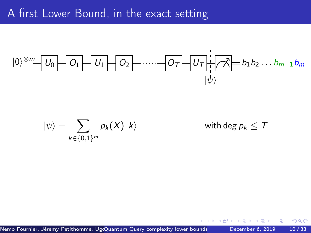

$$
\ket{\psi} = \sum_{k \in \{0,1\}^m} p_k(X) \ket{k}
$$

with deg  $p_k < T$ 

 $299$ 

Nemo Fournier, Jérémy Petithomme, Ugo[Quantum Query complexity lower bounds](#page-0-0) December 6, 2019 10/33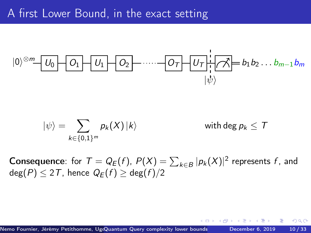U<sup>0</sup> U<sup>1</sup> U<sup>T</sup> |ψi |0i O<sup>1</sup> O<sup>2</sup> O<sup>T</sup> ⊗m b1b<sup>2</sup> . . . bm−1b<sup>m</sup>

$$
|\psi\rangle = \sum_{k \in \{0,1\}^m} p_k(X) |k\rangle \qquad \text{with deg } p_k \leq T
$$

**Consequence**: for  $T = Q_E(f)$ ,  $P(X) = \sum_{k \in B} |p_k(X)|^2$  represents f, and  $deg(P) \leq 2T$ , hence  $Q_E(f) \geq deg(f)/2$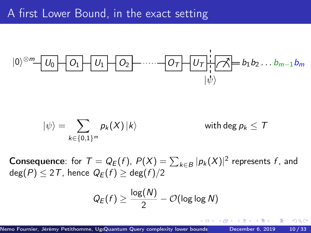U<sup>0</sup> U<sup>1</sup> U<sup>T</sup> |ψi |0i O<sup>1</sup> O<sup>2</sup> O<sup>T</sup> ⊗m b1b<sup>2</sup> . . . bm−1b<sup>m</sup>

$$
|\psi\rangle = \sum_{k \in \{0,1\}^m} p_k(X) |k\rangle \qquad \text{with deg } p_k \leq T
$$

**Consequence**: for  $T = Q_E(f)$ ,  $P(X) = \sum_{k \in B} |p_k(X)|^2$  represents f, and  $deg(P) \leq 2T$ , hence  $Q_E(f) \geq deg(f)/2$ 

$$
Q_E(f) \ge \frac{\log(N)}{2} - \mathcal{O}(\log \log N)
$$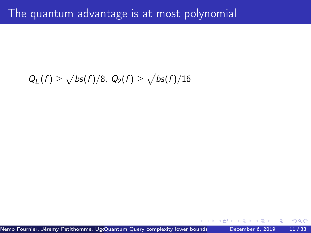# $Q_{E}(f) \geq \sqrt{bs(f)/8}, Q_{2}(f) \geq \sqrt{bs(f)/16}$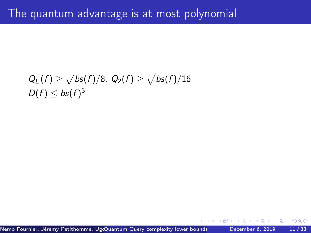# $Q_{E}(f) \geq \sqrt{bs(f)/8}, Q_{2}(f) \geq \sqrt{bs(f)/16}$  $D(f) \leq bs(f)^3$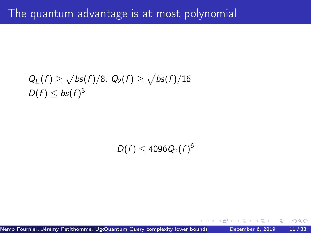# $Q_{E}(f) \geq \sqrt{bs(f)/8}, Q_{2}(f) \geq \sqrt{bs(f)/16}$  $D(f) \leq bs(f)^3$

 $D(f) \leq 4096 Q_2(f)^6$ 

 $\Omega$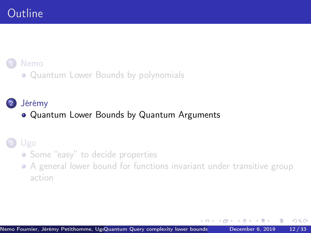#### <span id="page-21-0"></span>[Nemo](#page-1-0)

• [Quantum Lower Bounds by polynomials](#page-1-0)

## **[Jérémy](#page-21-0)**

[Quantum Lower Bounds by Quantum Arguments](#page-21-0)

- [Some "easy" to decide properties](#page-41-0)
- [A general lower bound for functions invariant under transitive group](#page-60-0) [action](#page-60-0)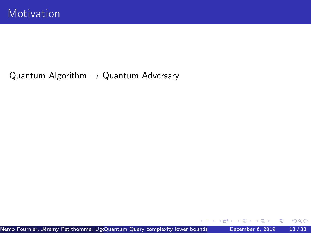$\leftarrow$   $\Box$ 

 $299$ 

活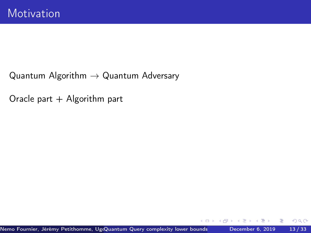Oracle part  $+$  Algorithm part

€⊡

 $298$ 

э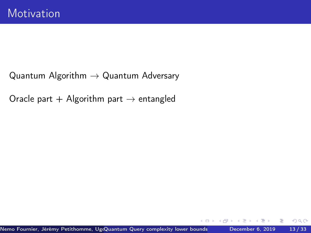Oracle part + Algorithm part  $\rightarrow$  entangled

 $\leftarrow$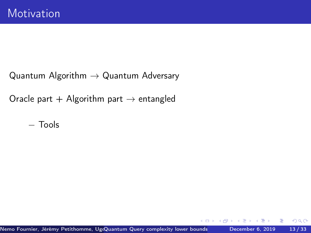Oracle part + Algorithm part  $\rightarrow$  entangled

− Tools

 $\leftarrow$ 

 $QQ$ 

э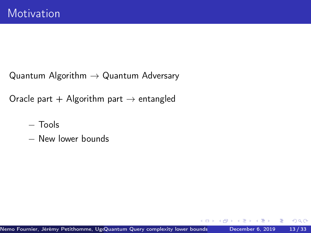Oracle part + Algorithm part  $\rightarrow$  entangled

- − Tools
- − New lower bounds

 $\Box$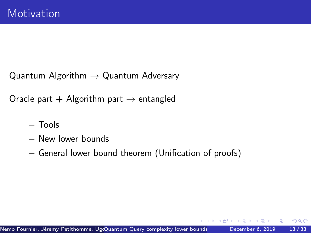Oracle part + Algorithm part  $\rightarrow$  entangled

- − Tools
- − New lower bounds
- − General lower bound theorem (Unification of proofs)

 $\Omega$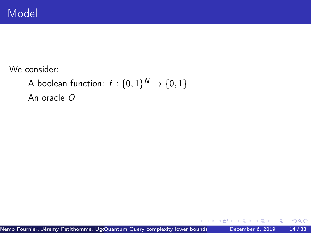We consider:

# A boolean function:  $f:\{0,1\}^{\textsf{N}}\rightarrow\{0,1\}$ An oracle O

€⊡

重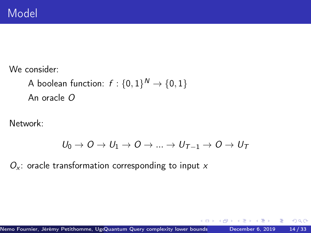We consider:

A boolean function:  $f:\{0,1\}^{\textsf{N}}\rightarrow\{0,1\}$ An oracle O

Network:

$$
\mathit{U}_0 \rightarrow \mathit{O} \rightarrow \mathit{U}_1 \rightarrow \mathit{O} \rightarrow ... \rightarrow \mathit{U}_{\mathcal{T}-1} \rightarrow \mathit{O} \rightarrow \mathit{U}_\mathcal{T}
$$

 $O_x$ : oracle transformation corresponding to input x

 $QQ$ 

э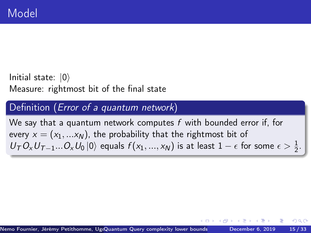#### Initial state:  $|0\rangle$ Measure: rightmost bit of the final state

#### Definition (Error of a quantum network)

We say that a quantum network computes f with bounded error if, for every  $x = (x_1, \ldots, x_N)$ , the probability that the rightmost bit of  $U_T O_x U_{T-1} ... O_x U_0 |0\rangle$  equals  $f(x_1, ..., x_N)$  is at least  $1 - \epsilon$  for some  $\epsilon > \frac{1}{2}$ .

つへへ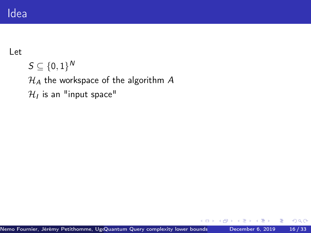#### Let

 $\mathcal{S} \subseteq \{0,1\}^N$  $H_A$  the workspace of the algorithm A  $\mathcal{H}_{I}$  is an "input space"

 $\Box$ 

 $299$ 

э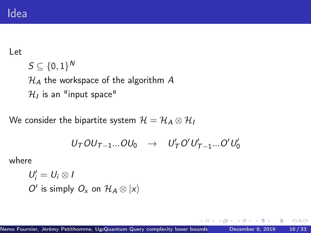#### Let

$$
S \subseteq \{0,1\}^N
$$
  

$$
\mathcal{H}_A
$$
 the workspace of the algorithm A  

$$
\mathcal{H}_I
$$
 is an "input space"

We consider the bipartite system  $\mathcal{H} = \mathcal{H}_A \otimes \mathcal{H}_I$ 

$$
U_T O U_{T-1} \dots O U_0 \quad \rightarrow \quad U'_T O' U'_{T-1} \dots O' U'_0
$$

where

$$
U'_i = U_i \otimes I
$$
  
*O'* is simply  $O_x$  on  $\mathcal{H}_A \otimes |x\rangle$ 

€⊡

 $299$ 

活

ъ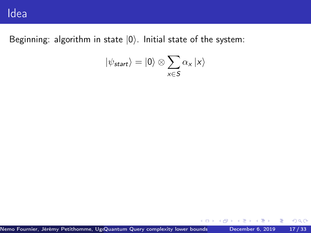Beginning: algorithm in state  $|0\rangle$ . Initial state of the system:

$$
|\psi_{\text{start}}\rangle = |0\rangle \otimes \sum_{x \in S} \alpha_x |x\rangle
$$

€⊡

 $299$ 

活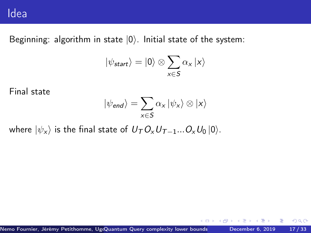Beginning: algorithm in state  $|0\rangle$ . Initial state of the system:

$$
\ket{\psi_{\text{start}}} = \ket{0} \otimes \sum_{x \in S} \alpha_x \ket{x}
$$

Final state

$$
|\psi_{\text{end}}\rangle = \sum_{x \in S} \alpha_x \, |\psi_x\rangle \otimes |x\rangle
$$

where  $|\psi_x\rangle$  is the final state of  $U_T O_x U_{T-1}...O_x U_0 |0\rangle$ .

 $QQ$ 

÷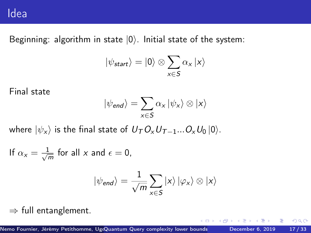Beginning: algorithm in state  $|0\rangle$ . Initial state of the system:

$$
\ket{\psi_{\text{start}}} = \ket{0} \otimes \sum_{x \in S} \alpha_x \ket{x}
$$

Final state

$$
\left|\psi_{\text{end}}\right\rangle = \sum_{x \in S} \alpha_x \left|\psi_x\right\rangle \otimes \left|x\right\rangle
$$

where  $|\psi_x\rangle$  is the final state of  $U_T O_x U_{T-1}...O_x U_0 |0\rangle$ .

If 
$$
\alpha_x = \frac{1}{\sqrt{m}}
$$
 for all x and  $\epsilon = 0$ ,  

$$
|\psi_{end}\rangle = \frac{1}{\sqrt{m}} \sum_{x \in S} |x\rangle |\varphi_x\rangle \otimes |x\rangle
$$

 $\Rightarrow$  full entanglement.

 $\Omega$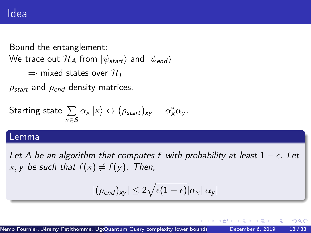Bound the entanglement: We trace out  $\mathcal{H}_A$  from  $|\psi_{start}\rangle$  and  $|\psi_{end}\rangle$  $\Rightarrow$  mixed states over  $\mathcal{H}_I$ 

 $\rho_{start}$  and  $\rho_{end}$  density matrices.

Starting state 
$$
\sum_{x \in S} \alpha_x |x\rangle \Leftrightarrow (\rho_{start})_{xy} = \alpha_x^* \alpha_y
$$
.

#### Lemma

Let A be an algorithm that computes f with probability at least  $1 - \epsilon$ . Let x, y be such that  $f(x) \neq f(y)$ . Then,

$$
|(\rho_{\text{end}})_{xy}| \leq 2\sqrt{\epsilon(1-\epsilon)}|\alpha_x||\alpha_y|
$$

 $\Omega$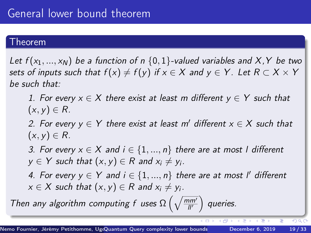#### Theorem

Let  $f(x_1, ..., x_N)$  be a function of n  $\{0, 1\}$ -valued variables and X,Y be two sets of inputs such that  $f(x) \neq f(y)$  if  $x \in X$  and  $y \in Y$ . Let  $R \subset X \times Y$ be such that:

1. For every  $x \in X$  there exist at least m different  $y \in Y$  such that  $(x, y) \in R$ .

2. For every  $y \in Y$  there exist at least m' different  $x \in X$  such that  $(x, y) \in R$ .

3. For every  $x \in X$  and  $i \in \{1, ..., n\}$  there are at most I different  $y \in Y$  such that  $(x, y) \in R$  and  $x_i \neq y_i$ .

4. For every  $y \in Y$  and  $i \in \{1, ..., n\}$  there are at most l' different  $x \in X$  such that  $(x, y) \in R$  and  $x_i \neq y_i$ .

Then any algorithm computing f uses  $\Omega\left(\sqrt{\frac{mm'}{ll'}}\right)$ queries.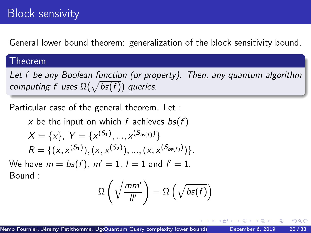General lower bound theorem: generalization of the block sensitivity bound.

#### Theorem

Let f be any Boolean function (or property). Then, any quantum algorithm computing f uses  $\Omega(\sqrt{bs(f)})$  queries.

Particular case of the general theorem. Let :

x be the input on which f achieves  $bs(f)$ 

$$
X = \{x\}, Y = \{x^{(S_1)}, ..., x^{(S_{bs(f)})}\}
$$
  

$$
R = \{(x, x^{(S_1)}), (x, x^{(S_2)}), ..., (x, x^{(S_{bs(f)})})\}.
$$

We have  $m = bs(f)$ ,  $m' = 1$ ,  $l = 1$  and  $l' = 1$ . Bound :

$$
\Omega\left(\sqrt{\frac{mm'}{l'}}\right) = \Omega\left(\sqrt{bs(f)}\right)
$$

 $\Omega$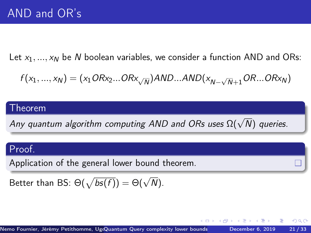Let  $x_1, ..., x_N$  be N boolean variables, we consider a function AND and ORs:

 $f(x_1, ..., x_N) = (x_1 OR x_2 ... OR x_{\sqrt{N}}) AND...AND(x_{N-\sqrt{N}+1} OR... OR x_N)$ 

#### Theorem

Any quantum algorithm computing AND and ORs uses  $\Omega(\sqrt{N})$  queries.

### Proof.

Application of the general lower bound theorem.

Better than BS:  $\Theta(\sqrt{bs(f)}) = \Theta(\sqrt{N}).$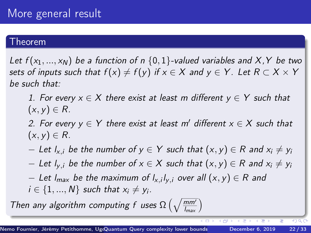#### Theorem

Let  $f(x_1, ..., x_N)$  be a function of n  $\{0, 1\}$ -valued variables and X, Y be two sets of inputs such that  $f(x) \neq f(y)$  if  $x \in X$  and  $y \in Y$ . Let  $R \subset X \times Y$ be such that:

1. For every  $x \in X$  there exist at least m different  $y \in Y$  such that  $(x, y) \in R$ .

2. For every  $y \in Y$  there exist at least m' different  $x \in X$  such that  $(x, y) \in R$ .

 $-$  Let  $l_{x,i}$  be the number of  $y \in Y$  such that  $(x, y) \in R$  and  $x_i \neq y_i$ 

 $-$  Let  $I_{v,i}$  be the number of  $x \in X$  such that  $(x, y) \in R$  and  $x_i \neq y_i$ 

 $-$  Let l<sub>max</sub> be the maximum of l<sub>x,i</sub>l<sub>y,i</sub> over all  $(\mathsf{x},\mathsf{y})$   $\in$   $R$  and  $i \in \{1, ..., N\}$  such that  $x_i \neq y_i$ .

Then any algorithm computing f uses  $\Omega\left(\sqrt{\frac{mm'}{I_{max}}}\right)$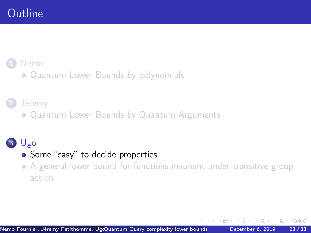## <span id="page-41-0"></span>**[Nemo](#page-1-0)**

• [Quantum Lower Bounds by polynomials](#page-1-0)

#### **[Jérémy](#page-21-0)**

[Quantum Lower Bounds by Quantum Arguments](#page-21-0)

#### 3 [Ugo](#page-41-0)

#### • [Some "easy" to decide properties](#page-41-0)

[A general lower bound for functions invariant under transitive group](#page-60-0) [action](#page-60-0)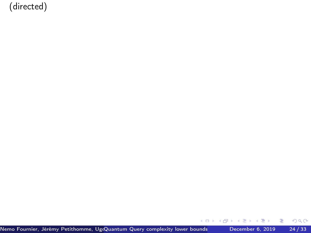## (directed)

**Kロト K個 K** 

メモドメモド

画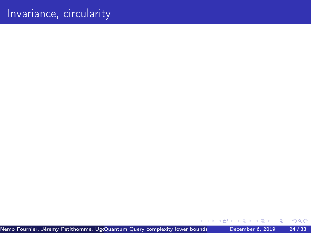# Invariance, circularity

Nemo Fournier, Jérémy Petithomme, Ugo [Quantum Query complexity lower bounds](#page-0-0) December 6, 2019 24/33

 $\leftarrow$   $\Box$ 

×. 凸  $299$ 

活

ъ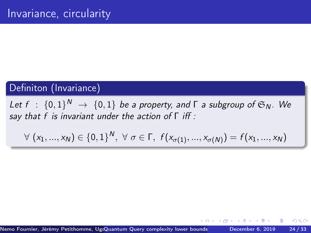#### Definiton (Invariance)

Let  $f$  :  $\{0,1\}^N \rightarrow \{0,1\}$  be a property, and  $\Gamma$  a subgroup of  $\mathfrak{S}_N$ . We say that f is invariant under the action of Γ iff :

$$
\forall (x_1, ..., x_N) \in \{0, 1\}^N, \ \forall \ \sigma \in \Gamma, \ f(x_{\sigma(1)}, ..., x_{\sigma(N)}) = f(x_1, ..., x_N)
$$

 $\Omega$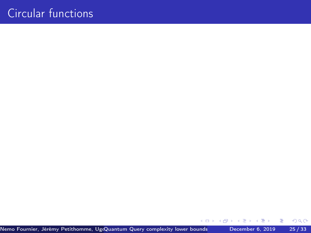Nemo Fournier, Jérémy Petithomme, Ugo [Quantum Query complexity lower bounds](#page-0-0) December 6, 2019 25/33

4日 8

∢母  $\rightarrow$   $2990$ 

Ε

∍ Þ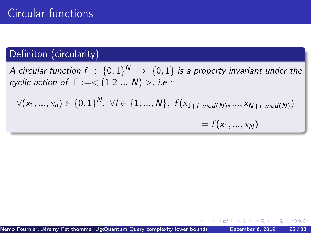### Definiton (circularity)

A circular function  $f$   $:~ \{0,1\}^N~ \rightarrow ~ \{0,1\}$  is a property invariant under the cyclic action of  $\Gamma := < (1 2 ... N) >$ , i.e :

 $\forall (x_1,...,x_n) \in \{0,1\}^N, \,\, \forall l \in \{1,...,N\}, \,\, f(x_{1 + l \,\, mod(N)},...,x_{N + l \,\, mod(N)})$ 

$$
= f(x_1,...,x_N)
$$

 $\Omega$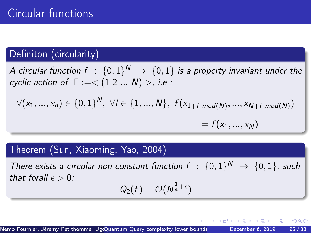## Definiton (circularity)

A circular function  $f$   $:~ \{0,1\}^N~ \rightarrow ~ \{0,1\}$  is a property invariant under the cyclic action of  $\Gamma := < (1 2 ... N) >$ , i.e :

$$
\forall (x_1,...,x_n) \in \{0,1\}^N, \ \forall l \in \{1,...,N\}, \ f(x_{1+l \ mod(N)},...,x_{N+l \ mod(N)})
$$

$$
= f(x_1,...,x_N)
$$

#### Theorem (Sun, Xiaoming, Yao, 2004)

There exists a circular non-constant function  $f : \{0,1\}^N \rightarrow \{0,1\}$ , such that forall  $\epsilon > 0$ : 1

$$
Q_2(f) = \mathcal{O}(N^{\frac{1}{4}+\epsilon})
$$

- 3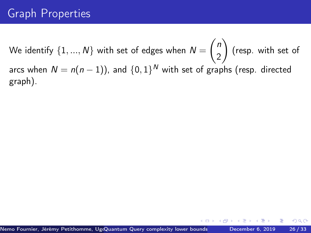# Graph Properties

We identify  $\{1,...,N\}$  with set of edges when  $N=$  $\left( n \right)$ 2 å (resp. with set of arcs when  $N=n(n-1))$ , and  $\{0,1\}^N$  with set of graphs (resp. directed graph).

 $\Omega$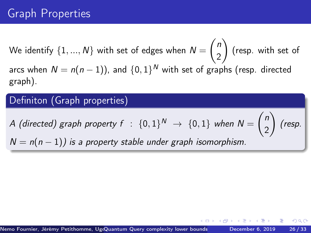# Graph Properties

We identify  $\{1,...,N\}$  with set of edges when  $N=$  $\left( n \right)$ 2 å (resp. with set of arcs when  $N=n(n-1))$ , and  $\{0,1\}^N$  with set of graphs (resp. directed graph).

#### Definiton (Graph properties)

A (directed) graph property 
$$
f : \{0,1\}^N \to \{0,1\}
$$
 when  $N = \binom{n}{2}$  (resp.

 $N = n(n-1)$ ) is a property stable under graph isomorphism.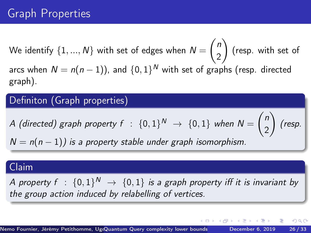# Graph Properties

We identify  $\{1,...,N\}$  with set of edges when  $N=$  $\left( n \right)$ 2 å (resp. with set of arcs when  $N=n(n-1))$ , and  $\{0,1\}^N$  with set of graphs (resp. directed graph).

#### Definiton (Graph properties)

A (directed) graph property 
$$
f : \{0,1\}^N \to \{0,1\}
$$
 when  $N = \binom{n}{2}$  (resp.

 $\sqrt{2}$ 

- イ何 ト イヨ ト イヨ ト ニヨ

 $QQ$ 

 $N = n(n-1)$ ) is a property stable under graph isomorphism.

#### Claim

A property  $f$  :  $\{0,1\}^N$   $\;\rightarrow$   $\;\{0,1\}$  is a graph property iff it is invariant by the group action induced by relabelling of vertices.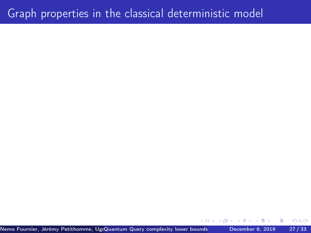# Graph properties in the classical deterministic model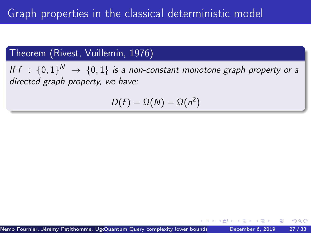### Theorem (Rivest, Vuillemin, 1976)

If  $f$  :  $\{0,1\}^N \rightarrow \{0,1\}$  is a non-constant monotone graph property or a directed graph property, we have:

$$
D(f)=\Omega(N)=\Omega(n^2)
$$

 $\Omega$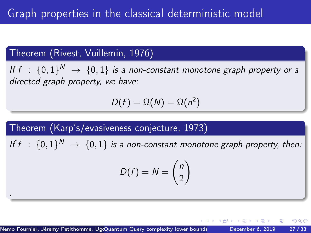### Theorem (Rivest, Vuillemin, 1976)

.

If  $f$  :  $\{0,1\}^N \rightarrow \{0,1\}$  is a non-constant monotone graph property or a directed graph property, we have:

$$
D(f)=\Omega(N)=\Omega(n^2)
$$

Theorem (Karp's/evasiveness conjecture, 1973)

If  $f : \{0,1\}^N \rightarrow \{0,1\}$  is a non-constant monotone graph property, then:

$$
D(f) = N = \binom{n}{2}
$$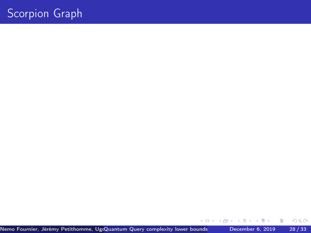重

 $\mathbf{p}$  $\rightarrow$   $\equiv$   $\rightarrow$ 

∍

**K ロ ▶ K 何 ▶**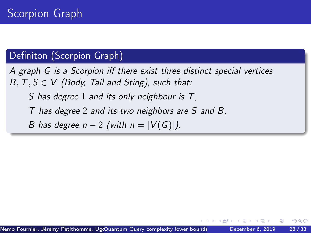#### Definiton (Scorpion Graph)

A graph G is a Scorpion iff there exist three distinct special vertices  $B, T, S \in V$  (Body, Tail and Sting), such that:

S has degree 1 and its only neighbour is T,

T has degree 2 and its two neighbors are S and B,

B has degree  $n-2$  (with  $n = |V(G)|$ ).

つへへ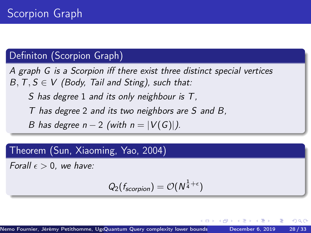#### Definiton (Scorpion Graph)

A graph G is a Scorpion iff there exist three distinct special vertices  $B, T, S \in V$  (Body, Tail and Sting), such that:

S has degree 1 and its only neighbour is T,

T has degree 2 and its two neighbors are S and B,

B has degree  $n-2$  (with  $n = |V(G)|$ ).

#### Theorem (Sun, Xiaoming, Yao, 2004)

Forall  $\epsilon > 0$ , we have:

$$
Q_2(f_{scorption}) = \mathcal{O}(N^{\frac{1}{4}+\epsilon})
$$

 $\Omega$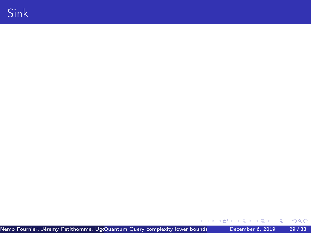# Sink

K ロ ▶ K @ ▶ K 할 ▶ K 할 ▶ 이 할 → 90 Q ^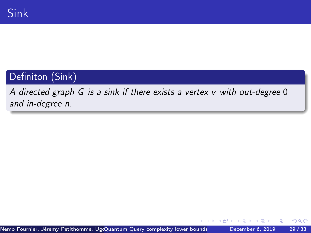## Definiton (Sink)

A directed graph G is a sink if there exists a vertex v with out-degree 0 and in-degree n.

€⊡

 $QQ$ 

÷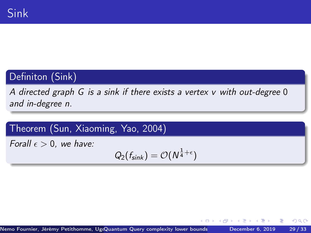## Definiton (Sink)

A directed graph G is a sink if there exists a vertex v with out-degree 0 and in-degree n.

Theorem (Sun, Xiaoming, Yao, 2004)

Forall  $\epsilon > 0$ , we have:

$$
Q_2(f_{sink}) = \mathcal{O}(N^{\frac{1}{4}+\epsilon})
$$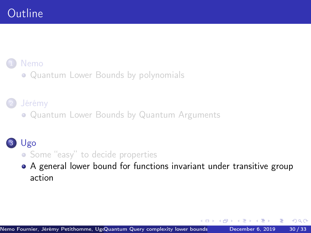## <span id="page-60-0"></span>[Nemo](#page-1-0)

• [Quantum Lower Bounds by polynomials](#page-1-0)

#### **[Jérémy](#page-21-0)**

[Quantum Lower Bounds by Quantum Arguments](#page-21-0)

#### 3 [Ugo](#page-41-0)

- [Some "easy" to decide properties](#page-41-0)
- [A general lower bound for functions invariant under transitive group](#page-60-0) [action](#page-60-0)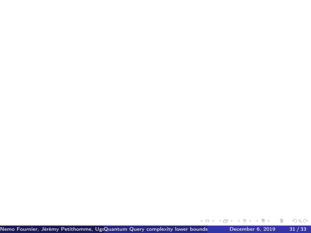Nemo Fournier, Jérémy Petithomme, Ugo [Quantum Query complexity lower bounds](#page-0-0) December 6, 2019 31 / 33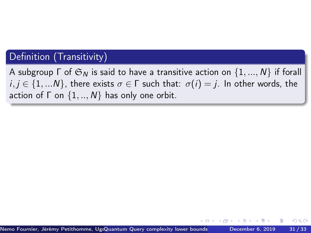#### Definition (Transitivity)

A subgroup  $\Gamma$  of  $\mathfrak{S}_N$  is said to have a transitive action on  $\{1, ..., N\}$  if forall  $i, j \in \{1, ...N\}$ , there exists  $\sigma \in \Gamma$  such that:  $\sigma(i) = j$ . In other words, the action of  $\Gamma$  on  $\{1, ..., N\}$  has only one orbit.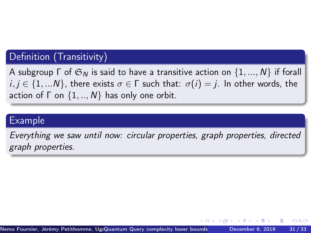#### Definition (Transitivity)

A subgroup  $\Gamma$  of  $\mathfrak{S}_N$  is said to have a transitive action on  $\{1, ..., N\}$  if forall  $i, j \in \{1, ...N\}$ , there exists  $\sigma \in \Gamma$  such that:  $\sigma(i) = j$ . In other words, the action of  $\Gamma$  on  $\{1, ..., N\}$  has only one orbit.

#### Example

Everything we saw until now: circular properties, graph properties, directed graph properties.

つへへ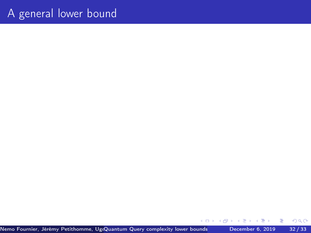# A general lower bound

 $\leftarrow$   $\Box$ 

×. 凸  $299$ 

活

∍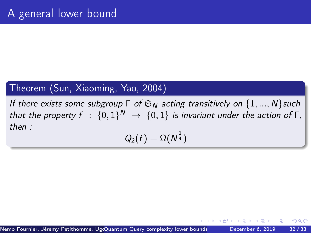#### Theorem (Sun, Xiaoming, Yao, 2004)

If there exists some subgroup  $\Gamma$  of  $\mathfrak{S}_N$  acting transitively on  $\{1, ..., N\}$  such that the property  $f$  :  $\{0,1\}^N$   $\rightarrow$   $\{0,1\}$  is invariant under the action of  $\mathsf{\Gamma}$ , then :

$$
Q_2(f)=\Omega(N^{\frac{1}{4}})
$$

Nemo Fournier, Jérémy Petithomme, Ugo[Quantum Query complexity lower bounds](#page-0-0) December 6, 2019 32/33